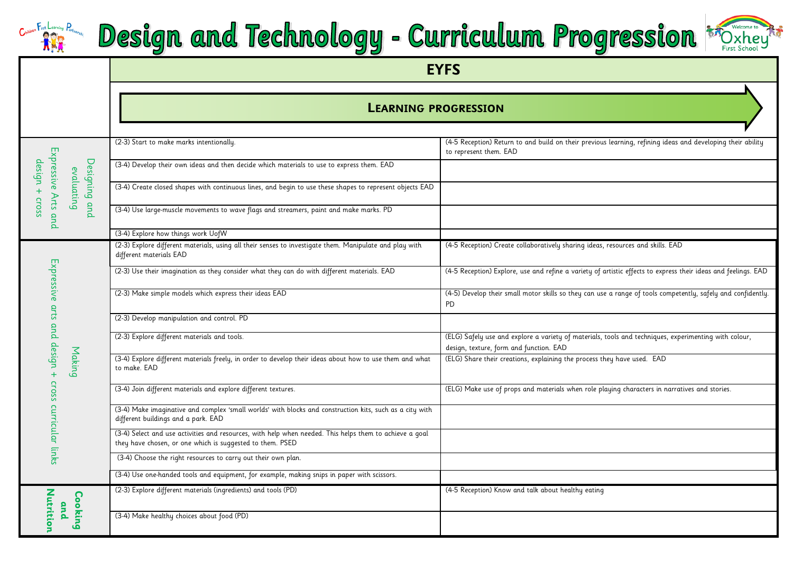#### First Learning Partnership Design and Technology - Curriculum Progression \* Dxhey to



|                                 |                             | <b>EYFS</b>                                                                                                                                                          |                                                                                                                                                  |  |  |  |  |
|---------------------------------|-----------------------------|----------------------------------------------------------------------------------------------------------------------------------------------------------------------|--------------------------------------------------------------------------------------------------------------------------------------------------|--|--|--|--|
|                                 |                             | <b>LEARNING PROGRESSION</b>                                                                                                                                          |                                                                                                                                                  |  |  |  |  |
|                                 |                             | (2-3) Start to make marks intentionally.                                                                                                                             | (4-5 Reception) Return to and build on their previous learning, refining ideas and developing their ability<br>to represent them. EAD            |  |  |  |  |
| Expressive Arts and<br>design + |                             | (3-4) Develop their own ideas and then decide which materials to use to express them. EAD                                                                            |                                                                                                                                                  |  |  |  |  |
|                                 | Designing and<br>evaluating | (3-4) Create closed shapes with continuous lines, and begin to use these shapes to represent objects EAD                                                             |                                                                                                                                                  |  |  |  |  |
| CrOSS                           |                             | (3-4) Use large-muscle movements to wave flags and streamers, paint and make marks. PD                                                                               |                                                                                                                                                  |  |  |  |  |
|                                 |                             | (3-4) Explore how things work UofW                                                                                                                                   |                                                                                                                                                  |  |  |  |  |
|                                 |                             | (2-3) Explore different materials, using all their senses to investigate them. Manipulate and play with<br>different materials EAD                                   | (4-5 Reception) Create collaboratively sharing ideas, resources and skills. EAD                                                                  |  |  |  |  |
| Expressive arts                 |                             | (2-3) Use their imagination as they consider what they can do with different materials. EAD                                                                          | (4-5 Reception) Explore, use and refine a variety of artistic effects to express their ideas and feelings. EAD                                   |  |  |  |  |
|                                 | Making                      | (2-3) Make simple models which express their ideas EAD                                                                                                               | (4-5) Develop their small motor skills so they can use a range of tools competently, safely and confidently.<br><b>PD</b>                        |  |  |  |  |
|                                 |                             | (2-3) Develop manipulation and control. PD                                                                                                                           |                                                                                                                                                  |  |  |  |  |
|                                 |                             | (2-3) Explore different materials and tools.                                                                                                                         | (ELG) Safely use and explore a variety of materials, tools and techniques, experimenting with colour,<br>design, texture, form and function. EAD |  |  |  |  |
| and design + cross              |                             | (3-4) Explore different materials freely, in order to develop their ideas about how to use them and what<br>to make. EAD                                             | (ELG) Share their creations, explaining the process they have used. EAD                                                                          |  |  |  |  |
|                                 |                             | (3-4) Join different materials and explore different textures.                                                                                                       | (ELG) Make use of props and materials when role playing characters in narratives and stories.                                                    |  |  |  |  |
| curricular links                |                             | (3-4) Make imaginative and complex 'small worlds' with blocks and construction kits, such as a city with<br>different buildings and a park. EAD                      |                                                                                                                                                  |  |  |  |  |
|                                 |                             | (3-4) Select and use activities and resources, with help when needed. This helps them to achieve a goal<br>they have chosen, or one which is suggested to them. PSED |                                                                                                                                                  |  |  |  |  |
|                                 |                             | (3-4) Choose the right resources to carry out their own plan.                                                                                                        |                                                                                                                                                  |  |  |  |  |
|                                 |                             | (3-4) Use one-handed tools and equipment, for example, making snips in paper with scissors.                                                                          |                                                                                                                                                  |  |  |  |  |
|                                 |                             | (2-3) Explore different materials (ingredients) and tools (PD)                                                                                                       | (4-5 Reception) Know and talk about healthy eating                                                                                               |  |  |  |  |
| Nutrition                       | Cooking<br>and              | (3-4) Make healthy choices about food (PD)                                                                                                                           |                                                                                                                                                  |  |  |  |  |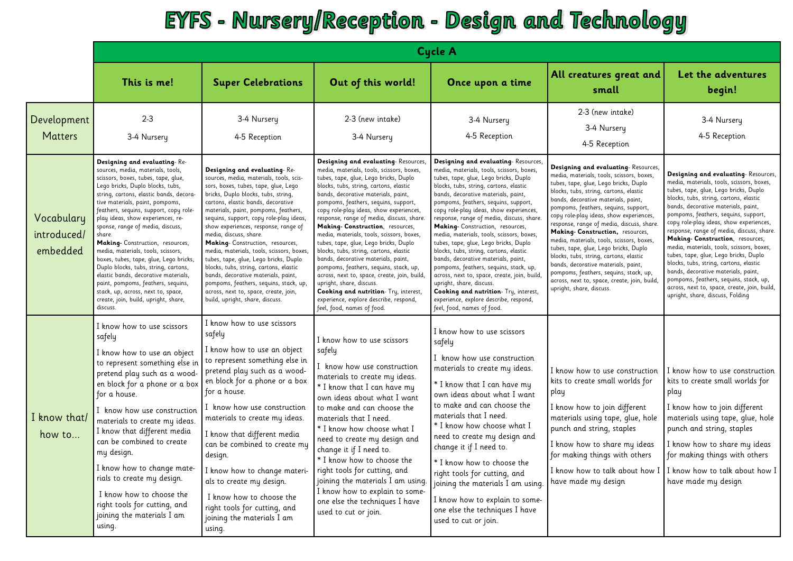#### EYFS - Nursery/Reception - Design and Technology

|                                       | <b>Cycle A</b>                                                                                                                                                                                                                                                                                                                                                                                                                                                                                                                                                                                                                                                                              |                                                                                                                                                                                                                                                                                                                                                                                                                                                                                                                                                                                                                                                                                   |                                                                                                                                                                                                                                                                                                                                                                                                                                                                                                                                                                                                                                                                                                                                                                                           |                                                                                                                                                                                                                                                                                                                                                                                                                                                                                                                                                                                                                                                                                                                                                                                            |                                                                                                                                                                                                                                                                                                                                                                                                                                                                                                                                                                                                                                                                             |                                                                                                                                                                                                                                                                                                                                                                                                                                                                                                                                                                                                                                                                                    |  |
|---------------------------------------|---------------------------------------------------------------------------------------------------------------------------------------------------------------------------------------------------------------------------------------------------------------------------------------------------------------------------------------------------------------------------------------------------------------------------------------------------------------------------------------------------------------------------------------------------------------------------------------------------------------------------------------------------------------------------------------------|-----------------------------------------------------------------------------------------------------------------------------------------------------------------------------------------------------------------------------------------------------------------------------------------------------------------------------------------------------------------------------------------------------------------------------------------------------------------------------------------------------------------------------------------------------------------------------------------------------------------------------------------------------------------------------------|-------------------------------------------------------------------------------------------------------------------------------------------------------------------------------------------------------------------------------------------------------------------------------------------------------------------------------------------------------------------------------------------------------------------------------------------------------------------------------------------------------------------------------------------------------------------------------------------------------------------------------------------------------------------------------------------------------------------------------------------------------------------------------------------|--------------------------------------------------------------------------------------------------------------------------------------------------------------------------------------------------------------------------------------------------------------------------------------------------------------------------------------------------------------------------------------------------------------------------------------------------------------------------------------------------------------------------------------------------------------------------------------------------------------------------------------------------------------------------------------------------------------------------------------------------------------------------------------------|-----------------------------------------------------------------------------------------------------------------------------------------------------------------------------------------------------------------------------------------------------------------------------------------------------------------------------------------------------------------------------------------------------------------------------------------------------------------------------------------------------------------------------------------------------------------------------------------------------------------------------------------------------------------------------|------------------------------------------------------------------------------------------------------------------------------------------------------------------------------------------------------------------------------------------------------------------------------------------------------------------------------------------------------------------------------------------------------------------------------------------------------------------------------------------------------------------------------------------------------------------------------------------------------------------------------------------------------------------------------------|--|
|                                       | This is me!                                                                                                                                                                                                                                                                                                                                                                                                                                                                                                                                                                                                                                                                                 | <b>Super Celebrations</b>                                                                                                                                                                                                                                                                                                                                                                                                                                                                                                                                                                                                                                                         | Out of this world!                                                                                                                                                                                                                                                                                                                                                                                                                                                                                                                                                                                                                                                                                                                                                                        | Once upon a time                                                                                                                                                                                                                                                                                                                                                                                                                                                                                                                                                                                                                                                                                                                                                                           | All creatures great and<br>small                                                                                                                                                                                                                                                                                                                                                                                                                                                                                                                                                                                                                                            | Let the adventures<br>begin!                                                                                                                                                                                                                                                                                                                                                                                                                                                                                                                                                                                                                                                       |  |
| Development<br><b>Matters</b>         | $2 - 3$<br>3-4 Nursery                                                                                                                                                                                                                                                                                                                                                                                                                                                                                                                                                                                                                                                                      | 3-4 Nursery<br>4-5 Reception                                                                                                                                                                                                                                                                                                                                                                                                                                                                                                                                                                                                                                                      | 2-3 (new intake)<br>3-4 Nursery                                                                                                                                                                                                                                                                                                                                                                                                                                                                                                                                                                                                                                                                                                                                                           | 3-4 Nursery<br>4-5 Reception                                                                                                                                                                                                                                                                                                                                                                                                                                                                                                                                                                                                                                                                                                                                                               | 2-3 (new intake)<br>3-4 Nursery<br>4-5 Reception                                                                                                                                                                                                                                                                                                                                                                                                                                                                                                                                                                                                                            | 3-4 Nursery<br>4-5 Reception                                                                                                                                                                                                                                                                                                                                                                                                                                                                                                                                                                                                                                                       |  |
| Vocabulary<br>introduced/<br>embedded | Designing and evaluating-Re-<br>sources, media, materials, tools,<br>scissors, boxes, tubes, tape, glue,<br>Lego bricks, Duplo blocks, tubs,<br>string, cartons, elastic bands, decora-<br>tive materials, paint, pompoms,<br>feathers, sequins, support, copy role-<br>play ideas, show experiences, re-<br>sponse, range of media, discuss,<br>share.<br>Making- Construction, resources,<br>media, materials, tools, scissors,<br>boxes, tubes, tape, glue, Lego bricks,<br>Duplo blocks, tubs, string, cartons,<br>elastic bands, decorative materials,<br>paint, pompoms, feathers, sequins,<br>stack, up, across, next to, space,<br>create, join, build, upright, share,<br>discuss. | Designing and evaluating-Re-<br>sources, media, materials, tools, scis-<br>sors, boxes, tubes, tape, glue, Lego<br>bricks, Duplo blocks, tubs, string,<br>cartons, elastic bands, decorative<br>materials, paint, pompoms, feathers,<br>sequins, support, copy role-play ideas,<br>show experiences, response, range of<br>media, discuss, share.<br>Making-Construction, resources,<br>media, materials, tools, scissors, boxes.<br>tubes, tape, glue, Lego bricks, Duplo<br>blocks, tubs, string, cartons, elastic<br>bands, decorative materials, paint,<br>pompoms, feathers, sequins, stack, up,<br>across, next to, space, create, join,<br>build, upright, share, discuss. | Designing and evaluating-Resources<br>media, materials, tools, scissors, boxes,<br>tubes, tape, glue, Lego bricks, Duplo<br>blocks, tubs, string, cartons, elastic<br>bands, decorative materials, paint,<br>pompoms, feathers, sequins, support,<br>copy role-play ideas, show experiences,<br>response, range of media, discuss, share.<br>Making- Construction, resources,<br>media, materials, tools, scissors, boxes<br>tubes, tape, glue, Lego bricks, Duplo<br>blocks, tubs, string, cartons, elastic<br>bands, decorative materials, paint,<br>pompoms, feathers, sequins, stack, up,<br>across, next to, space, create, join, build,<br>upright, share, discuss.<br>Cooking and nutrition- Try, interest<br>experience, explore describe, respond,<br>feel, food, names of food. | Designing and evaluating-Resources<br>media, materials, tools, scissors, boxes,<br>tubes, tape, glue, Lego bricks, Duplo<br>blocks, tubs, string, cartons, elastic<br>bands, decorative materials, paint,<br>pompoms, feathers, sequins, support,<br>copy role-play ideas, show experiences,<br>response, range of media, discuss, share.<br>Making-Construction, resources,<br>media, materials, tools, scissors, boxes,<br>tubes, tape, glue, Lego bricks, Duplo<br>blocks, tubs, string, cartons, elastic<br>bands, decorative materials, paint,<br>pompoms, feathers, sequins, stack, up,<br>across, next to, space, create, join, build,<br>upright, share, discuss.<br>Cooking and nutrition- Try, interest,<br>experience, explore describe, respond,<br>feel, food, names of food. | Designing and evaluating-Resources,<br>media, materials, tools, scissors, boxes,<br>tubes, tape, glue, Lego bricks, Duplo<br>blocks, tubs, string, cartons, elastic<br>bands, decorative materials, paint,<br>pompoms, feathers, sequins, support,<br>copy role-play ideas, show experiences,<br>response, range of media, discuss, share.<br>Making- Construction, resources,<br>media, materials, tools, scissors, boxes,<br>tubes, tape, glue, Lego bricks, Duplo<br>blocks, tubs, string, cartons, elastic<br>bands, decorative materials, paint,<br>pompoms, feathers, sequins, stack, up,<br>across, next to, space, create, join, build,<br>upright, share, discuss. | Designing and evaluating-Resources<br>media, materials, tools, scissors, boxes,<br>tubes, tape, glue, Lego bricks, Duplo<br>blocks, tubs, string, cartons, elastic<br>bands, decorative materials, paint,<br>pompoms, feathers, sequins, support,<br>copy role-play ideas, show experiences,<br>response, range of media, discuss, share.<br>Making- Construction, resources,<br>media, materials, tools, scissors, boxes,<br>tubes, tape, glue, Lego bricks, Duplo<br>blocks, tubs, string, cartons, elastic<br>bands, decorative materials, paint,<br>pompoms, feathers, sequins, stack, up,<br>across, next to, space, create, join, build,<br>upright, share, discuss, Folding |  |
| I know that/<br>how to                | I know how to use scissors<br>safely<br>I know how to use an object<br>to represent something else in<br>pretend play such as a wood-<br>en block for a phone or a box<br>for a house.<br>I know how use construction<br>materials to create my ideas.<br>I know that different media<br>can be combined to create<br>my design.<br>I know how to change mate-<br>rials to create my design.<br>I know how to choose the<br>right tools for cutting, and<br>joining the materials I am<br>using.                                                                                                                                                                                            | I know how to use scissors<br>safely<br>I know how to use an object<br>to represent something else in<br>pretend play such as a wood-<br>en block for a phone or a box<br>for a house.<br>I know how use construction<br>materials to create my ideas.<br>I know that different media<br>can be combined to create my<br>design.<br>I know how to change materi-<br>als to create my design.<br>I know how to choose the<br>right tools for cutting, and<br>joining the materials I am<br>using.                                                                                                                                                                                  | I know how to use scissors<br>safely<br>I know how use construction<br>materials to create my ideas.<br>* I know that I can have my<br>own ideas about what I want<br>to make and can choose the<br>materials that I need.<br>* I know how choose what I<br>need to create my design and<br>change it if I need to.<br>* I know how to choose the<br>right tools for cutting, and<br>joining the materials I am using.<br>I know how to explain to some-<br>one else the techniques I have<br>used to cut or join.                                                                                                                                                                                                                                                                        | I know how to use scissors<br>safely<br>I know how use construction<br>materials to create my ideas.<br>* I know that I can have my<br>own ideas about what I want<br>to make and can choose the<br>materials that I need.<br>* I know how choose what I<br>need to create my design and<br>change it if I need to.<br>* I know how to choose the<br>right tools for cutting, and<br>joining the materials I am using.<br>I know how to explain to some-<br>one else the techniques I have<br>used to cut or join.                                                                                                                                                                                                                                                                         | I know how to use construction<br>kits to create small worlds for<br>play<br>I know how to join different<br>materials using tape, glue, hole<br>punch and string, staples<br>I know how to share my ideas<br>for making things with others<br>I know how to talk about how I<br>have made my design                                                                                                                                                                                                                                                                                                                                                                        | I know how to use construction<br>kits to create small worlds for<br>play<br>I know how to join different<br>materials using tape, glue, hole<br>punch and string, staples<br>I know how to share my ideas<br>for making things with others<br>I know how to talk about how I<br>have made my design                                                                                                                                                                                                                                                                                                                                                                               |  |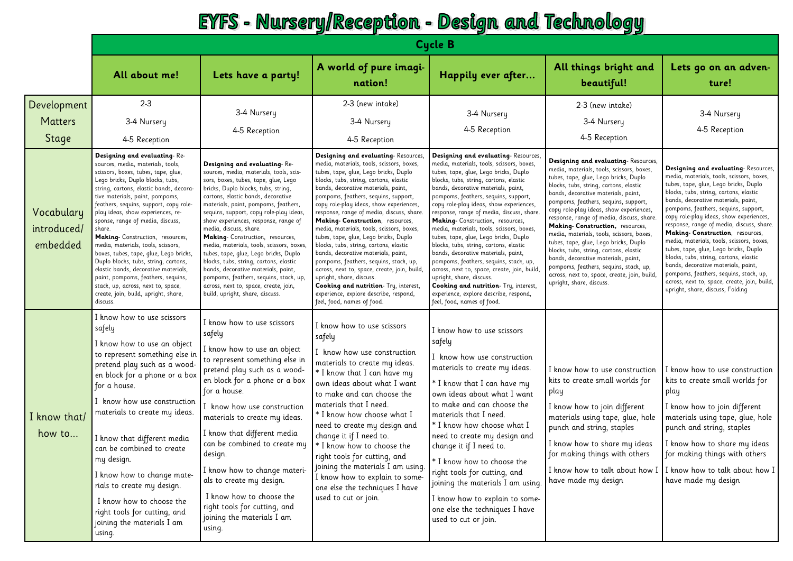#### **EYFS - Nursery/Reception - Design and Technology**

|                                        | <b>Cycle B</b>                                                                                                                                                                                                                                                                                                                                                                                                                                                                                                                                                                                                                                                                              |                                                                                                                                                                                                                                                                                                                                                                                                                                                                                                                                                                                                                                                                                   |                                                                                                                                                                                                                                                                                                                                                                                                                                                                                                                                                                                                                                                                                                                                                                                            |                                                                                                                                                                                                                                                                                                                                                                                                                                                                                                                                                                                                                                                                                                                                                                                              |                                                                                                                                                                                                                                                                                                                                                                                                                                                                                                                                                                                                                                                                            |                                                                                                                                                                                                                                                                                                                                                                                                                                                                                                                                                                                                                                                                                     |  |  |
|----------------------------------------|---------------------------------------------------------------------------------------------------------------------------------------------------------------------------------------------------------------------------------------------------------------------------------------------------------------------------------------------------------------------------------------------------------------------------------------------------------------------------------------------------------------------------------------------------------------------------------------------------------------------------------------------------------------------------------------------|-----------------------------------------------------------------------------------------------------------------------------------------------------------------------------------------------------------------------------------------------------------------------------------------------------------------------------------------------------------------------------------------------------------------------------------------------------------------------------------------------------------------------------------------------------------------------------------------------------------------------------------------------------------------------------------|--------------------------------------------------------------------------------------------------------------------------------------------------------------------------------------------------------------------------------------------------------------------------------------------------------------------------------------------------------------------------------------------------------------------------------------------------------------------------------------------------------------------------------------------------------------------------------------------------------------------------------------------------------------------------------------------------------------------------------------------------------------------------------------------|----------------------------------------------------------------------------------------------------------------------------------------------------------------------------------------------------------------------------------------------------------------------------------------------------------------------------------------------------------------------------------------------------------------------------------------------------------------------------------------------------------------------------------------------------------------------------------------------------------------------------------------------------------------------------------------------------------------------------------------------------------------------------------------------|----------------------------------------------------------------------------------------------------------------------------------------------------------------------------------------------------------------------------------------------------------------------------------------------------------------------------------------------------------------------------------------------------------------------------------------------------------------------------------------------------------------------------------------------------------------------------------------------------------------------------------------------------------------------------|-------------------------------------------------------------------------------------------------------------------------------------------------------------------------------------------------------------------------------------------------------------------------------------------------------------------------------------------------------------------------------------------------------------------------------------------------------------------------------------------------------------------------------------------------------------------------------------------------------------------------------------------------------------------------------------|--|--|
|                                        | All about me!                                                                                                                                                                                                                                                                                                                                                                                                                                                                                                                                                                                                                                                                               | Lets have a party!                                                                                                                                                                                                                                                                                                                                                                                                                                                                                                                                                                                                                                                                | A world of pure imagi-<br>nation!                                                                                                                                                                                                                                                                                                                                                                                                                                                                                                                                                                                                                                                                                                                                                          | Happily ever after                                                                                                                                                                                                                                                                                                                                                                                                                                                                                                                                                                                                                                                                                                                                                                           | All things bright and<br>beautiful!                                                                                                                                                                                                                                                                                                                                                                                                                                                                                                                                                                                                                                        | Lets go on an adven-<br>ture!                                                                                                                                                                                                                                                                                                                                                                                                                                                                                                                                                                                                                                                       |  |  |
| Development<br><b>Matters</b><br>Stage | $2 - 3$<br>3-4 Nursery<br>4-5 Reception                                                                                                                                                                                                                                                                                                                                                                                                                                                                                                                                                                                                                                                     | 3-4 Nursery<br>4-5 Reception                                                                                                                                                                                                                                                                                                                                                                                                                                                                                                                                                                                                                                                      | 2-3 (new intake)<br>3-4 Nursery<br>4-5 Reception                                                                                                                                                                                                                                                                                                                                                                                                                                                                                                                                                                                                                                                                                                                                           | 3-4 Nursery<br>4-5 Reception                                                                                                                                                                                                                                                                                                                                                                                                                                                                                                                                                                                                                                                                                                                                                                 | 2-3 (new intake)<br>3-4 Nursery<br>4-5 Reception                                                                                                                                                                                                                                                                                                                                                                                                                                                                                                                                                                                                                           | 3-4 Nursery<br>4-5 Reception                                                                                                                                                                                                                                                                                                                                                                                                                                                                                                                                                                                                                                                        |  |  |
| Vocabulary<br>introduced/<br>embedded  | Designing and evaluating-Re-<br>sources, media, materials, tools,<br>scissors, boxes, tubes, tape, glue,<br>Lego bricks, Duplo blocks, tubs,<br>string, cartons, elastic bands, decora-<br>tive materials, paint, pompoms,<br>feathers, sequins, support, copy role-<br>play ideas, show experiences, re-<br>sponse, range of media, discuss,<br>share.<br>Making- Construction, resources,<br>media, materials, tools, scissors,<br>boxes, tubes, tape, glue, Lego bricks,<br>Duplo blocks, tubs, string, cartons,<br>elastic bands, decorative materials,<br>paint, pompoms, feathers, sequins,<br>stack, up, across, next to, space,<br>create, join, build, upright, share,<br>discuss. | Designing and evaluating-Re-<br>sources, media, materials, tools, scis-<br>sors, boxes, tubes, tape, glue, Lego<br>bricks, Duplo blocks, tubs, string,<br>cartons, elastic bands, decorative<br>materials, paint, pompoms, feathers,<br>sequins, support, copy role-play ideas,<br>show experiences, response, range of<br>media, discuss, share.<br>Making-Construction, resources,<br>media, materials, tools, scissors, boxes,<br>tubes, tape, glue, Lego bricks, Duplo<br>blocks, tubs, string, cartons, elastic<br>bands, decorative materials, paint,<br>pompoms, feathers, sequins, stack, up,<br>across, next to, space, create, join,<br>build, upright, share, discuss. | Designing and evaluating-Resources,<br>media, materials, tools, scissors, boxes,<br>tubes, tape, glue, Lego bricks, Duplo<br>blocks, tubs, string, cartons, elastic<br>bands, decorative materials, paint,<br>pompoms, feathers, sequins, support,<br>copy role-play ideas, show experiences,<br>response, range of media, discuss, share.<br>Making- Construction, resources,<br>media, materials, tools, scissors, boxes<br>tubes, tape, glue, Lego bricks, Duplo<br>blocks, tubs, string, cartons, elastic<br>bands, decorative materials, paint,<br>pompoms, feathers, sequins, stack, up,<br>across, next to, space, create, join, build,<br>upright, share, discuss.<br>Cooking and nutrition- Try, interest<br>experience, explore describe, respond,<br>feel, food, names of food. | Designing and evaluating-Resources,<br>media, materials, tools, scissors, boxes,<br>tubes, tape, glue, Lego bricks, Duplo<br>blocks, tubs, string, cartons, elastic<br>bands, decorative materials, paint,<br>pompoms, feathers, sequins, support,<br>copy role-play ideas, show experiences,<br>response, range of media, discuss, share.<br>Making- Construction, resources,<br>media, materials, tools, scissors, boxes,<br>tubes, tape, glue, Lego bricks, Duplo<br>blocks, tubs, string, cartons, elastic<br>bands, decorative materials, paint,<br>pompoms, feathers, sequins, stack, up,<br>across, next to, space, create, join, build,<br>upright, share, discuss.<br>Cooking and nutrition- Try, interest,<br>experience, explore describe, respond,<br>feel, food, names of food. | Designing and evaluating-Resources,<br>media, materials, tools, scissors, boxes,<br>tubes, tape, glue, Lego bricks, Duplo<br>blocks, tubs, string, cartons, elastic<br>bands, decorative materials, paint,<br>pompoms, feathers, sequins, support,<br>copy role-play ideas, show experiences,<br>response, range of media, discuss, share.<br>Making- Construction, resources,<br>media, materials, tools, scissors, boxes<br>tubes, tape, glue, Lego bricks, Duplo<br>blocks, tubs, string, cartons, elastic<br>bands, decorative materials, paint,<br>pompoms, feathers, sequins, stack, up,<br>across, next to, space, create, join, build,<br>upright, share, discuss. | Designing and evaluating-Resources,<br>media, materials, tools, scissors, boxes,<br>tubes, tape, glue, Lego bricks, Duplo<br>blocks, tubs, string, cartons, elastic<br>bands, decorative materials, paint,<br>pompoms, feathers, sequins, support,<br>copy role-play ideas, show experiences,<br>response, range of media, discuss, share.<br>Making- Construction, resources,<br>media, materials, tools, scissors, boxes,<br>tubes, tape, glue, Lego bricks, Duplo<br>blocks, tubs, string, cartons, elastic<br>bands, decorative materials, paint,<br>pompoms, feathers, sequins, stack, up,<br>across, next to, space, create, join, build,<br>upright, share, discuss, Folding |  |  |
| I know that/<br>how to                 | I know how to use scissors<br>safely<br>I know how to use an object<br>to represent something else in<br>pretend play such as a wood-<br>en block for a phone or a box<br>for a house.<br>I know how use construction<br>materials to create my ideas.<br>I know that different media<br>can be combined to create<br>my design.<br>I know how to change mate-<br>rials to create my design.<br>I know how to choose the<br>right tools for cutting, and<br>joining the materials I am<br>using.                                                                                                                                                                                            | I know how to use scissors<br>safely<br>I know how to use an object<br>to represent something else in<br>pretend play such as a wood-<br>en block for a phone or a box<br>for a house.<br>know how use construction<br>materials to create my ideas.<br>I know that different media<br>can be combined to create my<br>design.<br>I know how to change materi-<br>als to create my design.<br>I know how to choose the<br>right tools for cutting, and<br>joining the materials I am<br>using.                                                                                                                                                                                    | I know how to use scissors<br>safely<br>I know how use construction<br>materials to create my ideas.<br>* I know that I can have my<br>own ideas about what I want<br>to make and can choose the<br>materials that I need.<br>* I know how choose what I<br>need to create my design and<br>change it if I need to.<br>* I know how to choose the<br>right tools for cutting, and<br>joining the materials I am using.<br>I know how to explain to some-<br>one else the techniques I have<br>used to cut or join.                                                                                                                                                                                                                                                                         | I know how to use scissors<br>safely<br>I know how use construction<br>materials to create my ideas.<br>* I know that I can have my<br>own ideas about what I want<br>to make and can choose the<br>materials that I need.<br>* I know how choose what I<br>need to create my design and<br>change it if I need to.<br>* I know how to choose the<br>right tools for cutting, and<br>joining the materials I am using.<br>I know how to explain to some-<br>one else the techniques I have<br>used to cut or join.                                                                                                                                                                                                                                                                           | I know how to use construction<br>kits to create small worlds for<br>play<br>I know how to join different<br>materials using tape, glue, hole<br>punch and string, staples<br>I know how to share my ideas<br>for making things with others<br>have made my design                                                                                                                                                                                                                                                                                                                                                                                                         | I know how to use construction<br>kits to create small worlds for<br>play<br>I know how to join different<br>materials using tape, glue, hole<br>punch and string, staples<br>I know how to share my ideas<br>for making things with others<br>I know how to talk about how I   I know how to talk about how I  <br>have made my design                                                                                                                                                                                                                                                                                                                                             |  |  |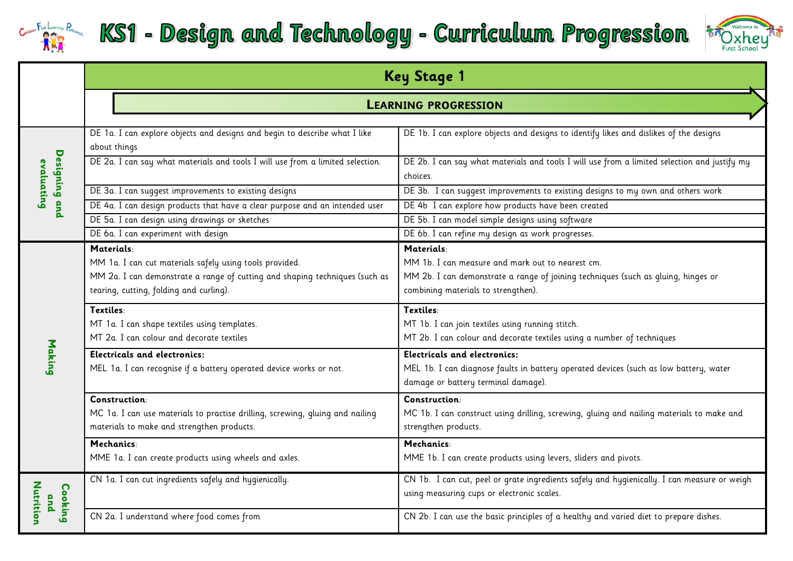

## KS1 - Design and Technology - Curriculum Progression



|                             | <b>Key Stage 1</b>                                                                                                                                                                              |                                                                                                                                                                                            |  |  |  |  |  |
|-----------------------------|-------------------------------------------------------------------------------------------------------------------------------------------------------------------------------------------------|--------------------------------------------------------------------------------------------------------------------------------------------------------------------------------------------|--|--|--|--|--|
|                             | <b>LEARNING PROGRESSION</b>                                                                                                                                                                     |                                                                                                                                                                                            |  |  |  |  |  |
|                             | DE 1a. I can explore objects and designs and begin to describe what I like<br>about things                                                                                                      | DE 1b. I can explore objects and designs to identify likes and dislikes of the designs                                                                                                     |  |  |  |  |  |
| Designing and<br>evaluating | DE 2a. I can say what materials and tools I will use from a limited selection.                                                                                                                  | DE 2b. I can say what materials and tools I will use from a limited selection and justify my<br>choices.                                                                                   |  |  |  |  |  |
|                             | DE 3a. I can suggest improvements to existing designs                                                                                                                                           | DE 3b. I can suggest improvements to existing designs to my own and others work                                                                                                            |  |  |  |  |  |
|                             | DE 4a. I can design products that have a clear purpose and an intended user                                                                                                                     | DE 4b I can explore how products have been created                                                                                                                                         |  |  |  |  |  |
|                             | DE 5a. I can design using drawings or sketches                                                                                                                                                  | DE 5b. I can model simple designs using software                                                                                                                                           |  |  |  |  |  |
|                             | DE 6a. I can experiment with design                                                                                                                                                             | DE 6b. I can refine my design as work progresses.                                                                                                                                          |  |  |  |  |  |
|                             | Materials:<br>MM 1a. I can cut materials safely using tools provided.<br>MM 2a. I can demonstrate a range of cutting and shaping techniques (such as<br>tearing, cutting, folding and curling). | Materials:<br>MM 1b. I can measure and mark out to nearest cm.<br>MM 2b. I can demonstrate a range of joining techniques (such as gluing, hinges or<br>combining materials to strengthen). |  |  |  |  |  |
|                             | Textiles:<br>MT 1a. I can shape textiles using templates.<br>MT 2a. I can colour and decorate textiles                                                                                          | Textiles:<br>MT 1b. I can join textiles using running stitch.<br>MT 2b. I can colour and decorate textiles using a number of techniques                                                    |  |  |  |  |  |
| Making                      | <b>Electricals and electronics:</b><br>MEL 1a. I can recognise if a battery operated device works or not.                                                                                       | <b>Electricals and electronics:</b><br>MEL 1b. I can diagnose faults in battery operated devices (such as low battery, water<br>damage or battery terminal damage).                        |  |  |  |  |  |
|                             | Construction:<br>MC 1a. I can use materials to practise drilling, screwing, gluing and nailing<br>materials to make and strengthen products.                                                    | Construction:<br>MC 1b. I can construct using drilling, screwing, gluing and nailing materials to make and<br>strengthen products.                                                         |  |  |  |  |  |
|                             | Mechanics:<br>MME 1a. I can create products using wheels and axles.                                                                                                                             | Mechanics:<br>MME 1b. I can create products using levers, sliders and pivots.                                                                                                              |  |  |  |  |  |
| Nutrition<br>Cooking<br>and | CN 1a. I can cut ingredients safely and hygienically.                                                                                                                                           | CN 1b. I can cut, peel or grate ingredients safely and hygienically. I can measure or weigh<br>using measuring cups or electronic scales.                                                  |  |  |  |  |  |
|                             | CN 2a. I understand where food comes from                                                                                                                                                       | CN 2b. I can use the basic principles of a healthy and varied diet to prepare dishes.                                                                                                      |  |  |  |  |  |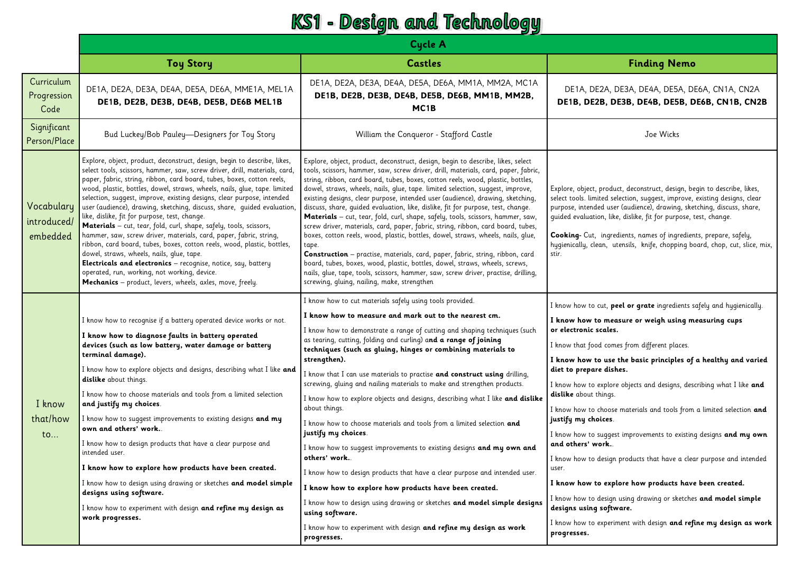#### KS1 - Design and Technology

| <b>Cycle A</b>                                                                                                                                                                                                                                                                                                                                                                                                                                                                                                                                                                                                                                                                                                                                                                                                                                                                                                                                                        |                                                                                                                                                                                                                                                                                                                                                                                                                                                                                                                                                                                                                                                                                                                                                                                                                                                                                                                                                                                                                                                                                                  |                                                                                                                                                                                                                                                                                                                                                                                                                                                                                                                                                                                                                                                                                                                                                                                                                                                                                                                             |  |  |  |
|-----------------------------------------------------------------------------------------------------------------------------------------------------------------------------------------------------------------------------------------------------------------------------------------------------------------------------------------------------------------------------------------------------------------------------------------------------------------------------------------------------------------------------------------------------------------------------------------------------------------------------------------------------------------------------------------------------------------------------------------------------------------------------------------------------------------------------------------------------------------------------------------------------------------------------------------------------------------------|--------------------------------------------------------------------------------------------------------------------------------------------------------------------------------------------------------------------------------------------------------------------------------------------------------------------------------------------------------------------------------------------------------------------------------------------------------------------------------------------------------------------------------------------------------------------------------------------------------------------------------------------------------------------------------------------------------------------------------------------------------------------------------------------------------------------------------------------------------------------------------------------------------------------------------------------------------------------------------------------------------------------------------------------------------------------------------------------------|-----------------------------------------------------------------------------------------------------------------------------------------------------------------------------------------------------------------------------------------------------------------------------------------------------------------------------------------------------------------------------------------------------------------------------------------------------------------------------------------------------------------------------------------------------------------------------------------------------------------------------------------------------------------------------------------------------------------------------------------------------------------------------------------------------------------------------------------------------------------------------------------------------------------------------|--|--|--|
| <b>Toy Story</b>                                                                                                                                                                                                                                                                                                                                                                                                                                                                                                                                                                                                                                                                                                                                                                                                                                                                                                                                                      | <b>Castles</b>                                                                                                                                                                                                                                                                                                                                                                                                                                                                                                                                                                                                                                                                                                                                                                                                                                                                                                                                                                                                                                                                                   | <b>Finding Nemo</b>                                                                                                                                                                                                                                                                                                                                                                                                                                                                                                                                                                                                                                                                                                                                                                                                                                                                                                         |  |  |  |
| DE1A, DE2A, DE3A, DE4A, DE5A, DE6A, MME1A, MEL1A<br>DE1B, DE2B, DE3B, DE4B, DE5B, DE6B MEL1B                                                                                                                                                                                                                                                                                                                                                                                                                                                                                                                                                                                                                                                                                                                                                                                                                                                                          | DE1A, DE2A, DE3A, DE4A, DE5A, DE6A, MM1A, MM2A, MC1A<br>DE1B, DE2B, DE3B, DE4B, DE5B, DE6B, MM1B, MM2B,<br>MC <sub>1</sub> B                                                                                                                                                                                                                                                                                                                                                                                                                                                                                                                                                                                                                                                                                                                                                                                                                                                                                                                                                                     | DE1A, DE2A, DE3A, DE4A, DE5A, DE6A, CN1A, CN2A<br>DE1B, DE2B, DE3B, DE4B, DE5B, DE6B, CN1B, CN2B                                                                                                                                                                                                                                                                                                                                                                                                                                                                                                                                                                                                                                                                                                                                                                                                                            |  |  |  |
| Bud Luckey/Bob Pauley-Designers for Toy Story                                                                                                                                                                                                                                                                                                                                                                                                                                                                                                                                                                                                                                                                                                                                                                                                                                                                                                                         | William the Conqueror - Stafford Castle                                                                                                                                                                                                                                                                                                                                                                                                                                                                                                                                                                                                                                                                                                                                                                                                                                                                                                                                                                                                                                                          | Joe Wicks                                                                                                                                                                                                                                                                                                                                                                                                                                                                                                                                                                                                                                                                                                                                                                                                                                                                                                                   |  |  |  |
| Explore, object, product, deconstruct, design, begin to describe, likes,<br>select tools, scissors, hammer, saw, screw driver, drill, materials, card,<br>paper, fabric, string, ribbon, card board, tubes, boxes, cotton reels,<br>wood, plastic, bottles, dowel, straws, wheels, nails, glue, tape. limited<br>selection, suggest, improve, existing designs, clear purpose, intended<br>user (audience), drawing, sketching, discuss, share, guided evaluation,<br>like, dislike, fit for purpose, test, change.<br>Materials - cut, tear, fold, curl, shape, safely, tools, scissors,<br>hammer, saw, screw driver, materials, card, paper, fabric, string,<br>ribbon, card board, tubes, boxes, cotton reels, wood, plastic, bottles,<br>dowel, straws, wheels, nails, glue, tape.<br>Electricals and electronics - recognise, notice, say, battery<br>operated, run, working, not working, device.<br>Mechanics - product, levers, wheels, axles, move, freely. | Explore, object, product, deconstruct, design, begin to describe, likes, select<br>tools, scissors, hammer, saw, screw driver, drill, materials, card, paper, fabric,<br>string, ribbon, card board, tubes, boxes, cotton reels, wood, plastic, bottles,<br>dowel, straws, wheels, nails, glue, tape. limited selection, suggest, improve,<br>existing designs, clear purpose, intended user (audience), drawing, sketching,<br>discuss, share, guided evaluation, like, dislike, fit for purpose, test, change.<br>Materials - cut, tear, fold, curl, shape, safely, tools, scissors, hammer, saw,<br>screw driver, materials, card, paper, fabric, string, ribbon, card board, tubes,<br>boxes, cotton reels, wood, plastic, bottles, dowel, straws, wheels, nails, glue,<br>tape.<br><b>Construction</b> - practise, materials, card, paper, fabric, string, ribbon, card<br>board, tubes, boxes, wood, plastic, bottles, dowel, straws, wheels, screws,<br>nails, glue, tape, tools, scissors, hammer, saw, screw driver, practise, drilling,<br>screwing, gluing, nailing, make, strengthen | Explore, object, product, deconstruct, design, begin to describe, likes,<br>select tools. limited selection, suggest, improve, existing designs, clear<br>purpose, intended user (audience), drawing, sketching, discuss, share,<br>guided evaluation, like, dislike, fit for purpose, test, change.<br>Cooking- Cut, ingredients, names of ingredients, prepare, safely,<br>hygienically, clean, utensils, knife, chopping board, chop, cut, slice, mix,<br>stir.                                                                                                                                                                                                                                                                                                                                                                                                                                                          |  |  |  |
| I know how to recognise if a battery operated device works or not.<br>I know how to diagnose faults in battery operated<br>devices (such as low battery, water damage or battery<br>terminal damage).<br>I know how to explore objects and designs, describing what I like and<br>dislike about things.<br>I know how to choose materials and tools from a limited selection<br>and justify my choices.<br>I know how to suggest improvements to existing designs and my<br>own and others' work<br>I know how to design products that have a clear purpose and<br>intended user.<br>I know how to explore how products have been created.<br>I know how to design using drawing or sketches and model simple<br>designs using software.<br>I know how to experiment with design and refine my design as<br>work progresses.                                                                                                                                          | I know how to measure and mark out to the nearest cm.<br>I know how to demonstrate a range of cutting and shaping techniques (such<br>as tearing, cutting, folding and curling) and a range of joining<br>techniques (such as gluing, hinges or combining materials to<br>strengthen).<br>I know that I can use materials to practise and construct using drilling,<br>screwing, gluing and nailing materials to make and strengthen products.<br>I know how to explore objects and designs, describing what I like and dislike<br>about things.<br>I know how to choose materials and tools from a limited selection and<br>justify my choices.<br>I know how to suggest improvements to existing designs and my own and<br>others' work<br>I know how to design products that have a clear purpose and intended user.<br>I know how to explore how products have been created.<br>I know how to design using drawing or sketches and model simple designs<br>using software.<br>I know how to experiment with design and refine my design as work                                              | I know how to cut, peel or grate ingredients safely and hygienically.<br>I know how to measure or weigh using measuring cups<br>or electronic scales.<br>I know that food comes from different places.<br>I know how to use the basic principles of a healthy and varied<br>diet to prepare dishes.<br>I know how to explore objects and designs, describing what I like and<br>dislike about things.<br>I know how to choose materials and tools from a limited selection and<br>justify my choices.<br>I know how to suggest improvements to existing designs and my own<br>and others' work.<br>I know how to design products that have a clear purpose and intended<br>user.<br>I know how to explore how products have been created.<br>I know how to design using drawing or sketches and model simple<br>designs using software.<br>I know how to experiment with design and refine my design as work<br>progresses. |  |  |  |
|                                                                                                                                                                                                                                                                                                                                                                                                                                                                                                                                                                                                                                                                                                                                                                                                                                                                                                                                                                       |                                                                                                                                                                                                                                                                                                                                                                                                                                                                                                                                                                                                                                                                                                                                                                                                                                                                                                                                                                                                                                                                                                  | I know how to cut materials safely using tools provided.<br>progresses.                                                                                                                                                                                                                                                                                                                                                                                                                                                                                                                                                                                                                                                                                                                                                                                                                                                     |  |  |  |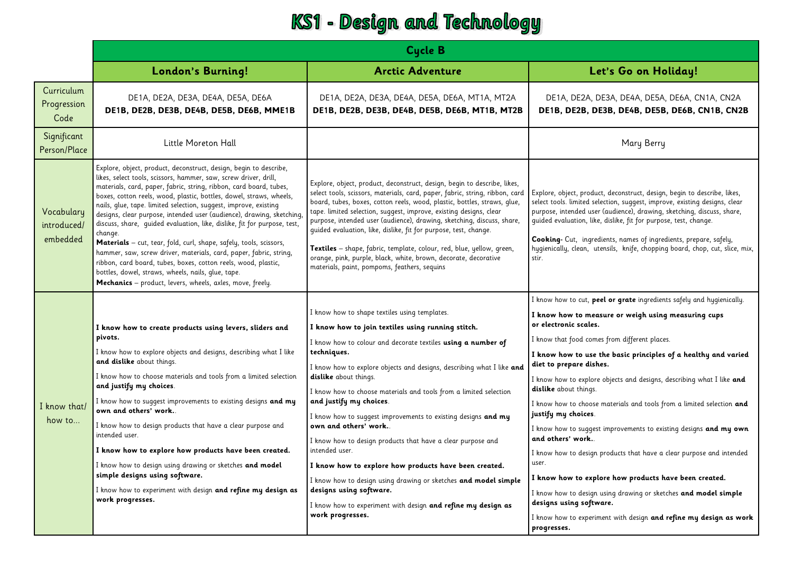#### KS1 - Design and Technology

|                                       | <b>Cycle B</b>                                                                                                                                                                                                                                                                                                                                                                                                                                                                                                                                                                                                                                                                                                                                                                                                                                         |                                                                                                                                                                                                                                                                                                                                                                                                                                                                                                                                                                                                                                                                                                                                                                                                          |                                                                                                                                                                                                                                                                                                                                                                                                                                                                                                                                                                                                                                                                                                                                                                                                                                                                                                                            |  |  |  |  |
|---------------------------------------|--------------------------------------------------------------------------------------------------------------------------------------------------------------------------------------------------------------------------------------------------------------------------------------------------------------------------------------------------------------------------------------------------------------------------------------------------------------------------------------------------------------------------------------------------------------------------------------------------------------------------------------------------------------------------------------------------------------------------------------------------------------------------------------------------------------------------------------------------------|----------------------------------------------------------------------------------------------------------------------------------------------------------------------------------------------------------------------------------------------------------------------------------------------------------------------------------------------------------------------------------------------------------------------------------------------------------------------------------------------------------------------------------------------------------------------------------------------------------------------------------------------------------------------------------------------------------------------------------------------------------------------------------------------------------|----------------------------------------------------------------------------------------------------------------------------------------------------------------------------------------------------------------------------------------------------------------------------------------------------------------------------------------------------------------------------------------------------------------------------------------------------------------------------------------------------------------------------------------------------------------------------------------------------------------------------------------------------------------------------------------------------------------------------------------------------------------------------------------------------------------------------------------------------------------------------------------------------------------------------|--|--|--|--|
|                                       | London's Burning!                                                                                                                                                                                                                                                                                                                                                                                                                                                                                                                                                                                                                                                                                                                                                                                                                                      | <b>Arctic Adventure</b>                                                                                                                                                                                                                                                                                                                                                                                                                                                                                                                                                                                                                                                                                                                                                                                  | Let's Go on Holiday!                                                                                                                                                                                                                                                                                                                                                                                                                                                                                                                                                                                                                                                                                                                                                                                                                                                                                                       |  |  |  |  |
| Curriculum<br>Progression<br>Code     | DE1A, DE2A, DE3A, DE4A, DE5A, DE6A<br>DE1B, DE2B, DE3B, DE4B, DE5B, DE6B, MME1B                                                                                                                                                                                                                                                                                                                                                                                                                                                                                                                                                                                                                                                                                                                                                                        | DE1A, DE2A, DE3A, DE4A, DE5A, DE6A, MT1A, MT2A<br>DE1B, DE2B, DE3B, DE4B, DE5B, DE6B, MT1B, MT2B                                                                                                                                                                                                                                                                                                                                                                                                                                                                                                                                                                                                                                                                                                         | DE1A, DE2A, DE3A, DE4A, DE5A, DE6A, CN1A, CN2A<br>DE1B, DE2B, DE3B, DE4B, DE5B, DE6B, CN1B, CN2B                                                                                                                                                                                                                                                                                                                                                                                                                                                                                                                                                                                                                                                                                                                                                                                                                           |  |  |  |  |
| Significant<br>Person/Place           | Little Moreton Hall                                                                                                                                                                                                                                                                                                                                                                                                                                                                                                                                                                                                                                                                                                                                                                                                                                    |                                                                                                                                                                                                                                                                                                                                                                                                                                                                                                                                                                                                                                                                                                                                                                                                          | Mary Berry                                                                                                                                                                                                                                                                                                                                                                                                                                                                                                                                                                                                                                                                                                                                                                                                                                                                                                                 |  |  |  |  |
| Vocabulary<br>introduced/<br>embedded | Explore, object, product, deconstruct, design, begin to describe,<br>likes, select tools, scissors, hammer, saw, screw driver, drill,<br>materials, card, paper, fabric, string, ribbon, card board, tubes,<br>boxes, cotton reels, wood, plastic, bottles, dowel, straws, wheels,<br>nails, glue, tape. limited selection, suggest, improve, existing<br>designs, clear purpose, intended user (audience), drawing, sketching,<br>discuss, share, quided evaluation, like, dislike, fit for purpose, test<br>change.<br>Materials - cut, tear, fold, curl, shape, safely, tools, scissors,<br>hammer, saw, screw driver, materials, card, paper, fabric, string,<br>ribbon, card board, tubes, boxes, cotton reels, wood, plastic,<br>bottles, dowel, straws, wheels, nails, glue, tape.<br>Mechanics - product, levers, wheels, axles, move, freely. | Explore, object, product, deconstruct, design, begin to describe, likes,<br>select tools, scissors, materials, card, paper, fabric, string, ribbon, card<br>board, tubes, boxes, cotton reels, wood, plastic, bottles, straws, glue,<br>tape. limited selection, suggest, improve, existing designs, clear<br>purpose, intended user (audience), drawing, sketching, discuss, share,<br>guided evaluation, like, dislike, fit for purpose, test, change.<br>Textiles - shape, fabric, template, colour, red, blue, yellow, green,<br>orange, pink, purple, black, white, brown, decorate, decorative<br>materials, paint, pompoms, feathers, sequins                                                                                                                                                     | Explore, object, product, deconstruct, design, begin to describe, likes,<br>select tools. limited selection, suggest, improve, existing designs, clear<br>purpose, intended user (audience), drawing, sketching, discuss, share,<br>quided evaluation, like, dislike, fit for purpose, test, change.<br>Cooking- Cut, ingredients, names of ingredients, prepare, safely,<br>hygienically, clean, utensils, knife, chopping board, chop, cut, slice, mix,<br>stir.                                                                                                                                                                                                                                                                                                                                                                                                                                                         |  |  |  |  |
| I know that/<br>how to                | I know how to create products using levers, sliders and<br>pivots.<br>I know how to explore objects and designs, describing what I like<br>and dislike about things.<br>I know how to choose materials and tools from a limited selection<br>and justify my choices.<br>I know how to suggest improvements to existing designs and my<br>own and others' work.<br>I know how to design products that have a clear purpose and<br>intended user.<br>I know how to explore how products have been created.<br>I know how to design using drawing or sketches and model<br>simple designs using software.<br>I know how to experiment with design and refine my design as<br>work progresses.                                                                                                                                                             | I know how to shape textiles using templates.<br>I know how to join textiles using running stitch.<br>I know how to colour and decorate textiles using a number of<br>techniques.<br>I know how to explore objects and designs, describing what I like and<br>dislike about things.<br>I know how to choose materials and tools from a limited selection<br>and justify my choices.<br>I know how to suggest improvements to existing designs and my<br>own and others' work<br>I know how to design products that have a clear purpose and<br>intended user.<br>I know how to explore how products have been created.<br>I know how to design using drawing or sketches and model simple<br>designs using software.<br>I know how to experiment with design and refine my design as<br>work progresses. | I know how to cut, peel or grate ingredients safely and hygienically.<br>I know how to measure or weigh using measuring cups<br>or electronic scales.<br>I know that food comes from different places.<br>I know how to use the basic principles of a healthy and varied<br>diet to prepare dishes.<br>I know how to explore objects and designs, describing what I like and<br>dislike about things.<br>I know how to choose materials and tools from a limited selection and<br>justify my choices.<br>I know how to suggest improvements to existing designs and my own<br>and others' work<br>I know how to design products that have a clear purpose and intended<br>user.<br>I know how to explore how products have been created.<br>I know how to design using drawing or sketches and model simple<br>designs using software.<br>I know how to experiment with design and refine my design as work<br>progresses. |  |  |  |  |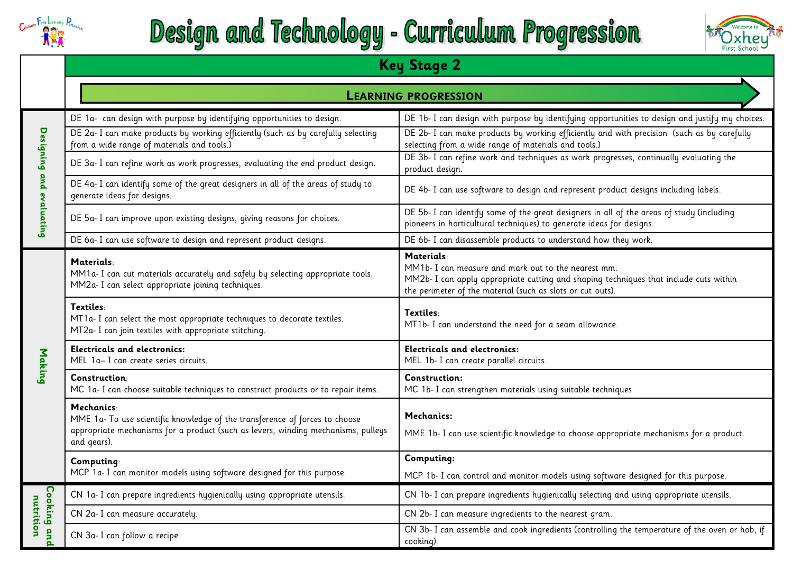

# Design and Technology - Curriculum Progression



|                          | <b>Key Stage 2</b>                                                                                                                                                                                        |                                                                                                                                                                                                                                                       |  |  |  |  |  |  |
|--------------------------|-----------------------------------------------------------------------------------------------------------------------------------------------------------------------------------------------------------|-------------------------------------------------------------------------------------------------------------------------------------------------------------------------------------------------------------------------------------------------------|--|--|--|--|--|--|
|                          | <b>LEARNING PROGRESSION</b>                                                                                                                                                                               |                                                                                                                                                                                                                                                       |  |  |  |  |  |  |
|                          | DE 1a- can design with purpose by identifying opportunities to design.<br>DE 2a- I can make products by working efficiently (such as by carefully selecting<br>from a wide range of materials and tools.) | DE 1b- I can design with purpose by identifying opportunities to design and justify my choices.<br>DE 2b- I can make products by working efficiently and with precision (such as by carefully<br>selecting from a wide range of materials and tools.) |  |  |  |  |  |  |
|                          | DE 3a- I can refine work as work progresses, evaluating the end product design.                                                                                                                           | DE 3b- I can refine work and techniques as work progresses, continually evaluating the<br>product design.                                                                                                                                             |  |  |  |  |  |  |
| Designing and evaluating | DE 4a- I can identify some of the great designers in all of the areas of study to<br>generate ideas for designs.                                                                                          | DE 4b- I can use software to design and represent product designs including labels.                                                                                                                                                                   |  |  |  |  |  |  |
|                          | DE 5a- I can improve upon existing designs, giving reasons for choices.                                                                                                                                   | DE 5b- I can identify some of the great designers in all of the areas of study (including<br>pioneers in horticultural techniques) to generate ideas for designs.                                                                                     |  |  |  |  |  |  |
|                          | DE 6a- I can use software to design and represent product designs.                                                                                                                                        | DE 6b- I can disassemble products to understand how they work.                                                                                                                                                                                        |  |  |  |  |  |  |
|                          | <b>Materials:</b><br>MM1a- I can cut materials accurately and safely by selecting appropriate tools.<br>MM2a- I can select appropriate joining techniques.                                                | Materials:<br>MM1b- I can measure and mark out to the nearest mm.<br>MM2b- I can apply appropriate cutting and shaping techniques that include cuts within<br>the perimeter of the material (such as slots or cut outs).                              |  |  |  |  |  |  |
|                          | Textiles:<br>MT1a- I can select the most appropriate techniques to decorate textiles.<br>MT2a- I can join textiles with appropriate stitching.                                                            | Textiles:<br>MT1b- I can understand the need for a seam allowance.                                                                                                                                                                                    |  |  |  |  |  |  |
| Making                   | <b>Electricals and electronics:</b><br>MEL 1a-I can create series circuits.                                                                                                                               | <b>Electricals and electronics:</b><br>MEL 1b- I can create parallel circuits.                                                                                                                                                                        |  |  |  |  |  |  |
|                          | Construction:<br>MC 1a- I can choose suitable techniques to construct products or to repair items.                                                                                                        | Construction:<br>MC 1b- I can strengthen materials using suitable techniques.                                                                                                                                                                         |  |  |  |  |  |  |
|                          | Mechanics:<br>MME 1a- To use scientific knowledge of the transference of forces to choose<br>appropriate mechanisms for a product (such as levers, winding mechanisms, pulleys<br>and gears).             | Mechanics:<br>MME 1b- I can use scientific knowledge to choose appropriate mechanisms for a product.                                                                                                                                                  |  |  |  |  |  |  |
|                          | Computing:                                                                                                                                                                                                | Computing:                                                                                                                                                                                                                                            |  |  |  |  |  |  |
|                          | MCP 1a- I can monitor models using software designed for this purpose.                                                                                                                                    | MCP 1b- I can control and monitor models using software designed for this purpose.                                                                                                                                                                    |  |  |  |  |  |  |
|                          | CN 1a- I can prepare ingredients hygienically using appropriate utensils.                                                                                                                                 | CN 1b- I can prepare ingredients hygienically selecting and using appropriate utensils.                                                                                                                                                               |  |  |  |  |  |  |
| nutrition                | CN 2a- I can measure accurately.                                                                                                                                                                          | CN 2b- I can measure ingredients to the nearest gram.                                                                                                                                                                                                 |  |  |  |  |  |  |
| Cooking and              | CN 3a- I can follow a recipe                                                                                                                                                                              | CN 3b- I can assemble and cook ingredients (controlling the temperature of the oven or hob, if<br>cooking).                                                                                                                                           |  |  |  |  |  |  |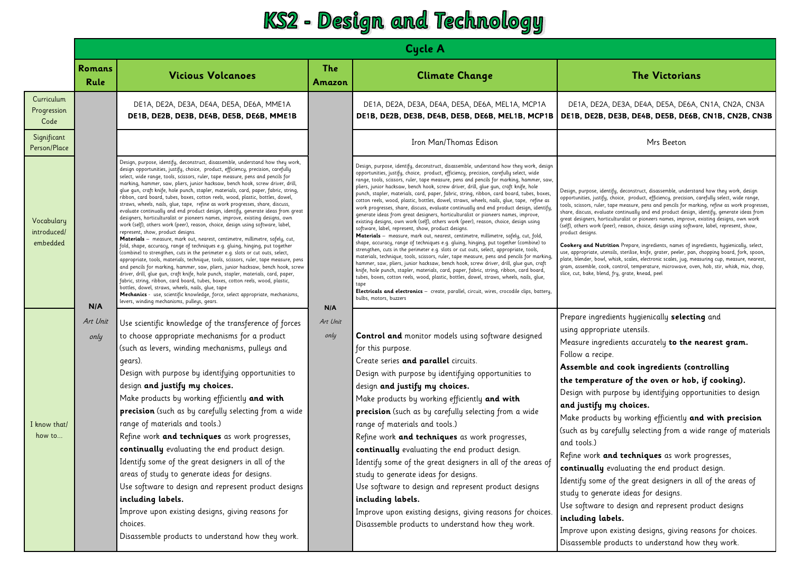### KS2 - Design and Technology

|                                       | <b>Cycle A</b>        |                                                                                                                                                                                                                                                                                                                                                                                                                                                                                                                                                                                                                                                                                                                                                                                                                                                                                                                                                                                                                                                                                                                                                                                                                                                                                                                                                                                                                                                                                                                                                                                                                                                                                         |                      |                                                                                                                                                                                                                                                                                                                                                                                                                                                                                                                                                                                                                                                                                                                                                                                                                                                                                                                                                                                                                                                                                                                                                                                                                                                                                                                                                                                                                                                                                                                                                                                                                                                                    |                                                                                                                                                                                                                                                                                                                                                                                                                                                                                                                                                                                                                                                                                                                                                                                                                                                                                                                                                                                                                                                      |  |
|---------------------------------------|-----------------------|-----------------------------------------------------------------------------------------------------------------------------------------------------------------------------------------------------------------------------------------------------------------------------------------------------------------------------------------------------------------------------------------------------------------------------------------------------------------------------------------------------------------------------------------------------------------------------------------------------------------------------------------------------------------------------------------------------------------------------------------------------------------------------------------------------------------------------------------------------------------------------------------------------------------------------------------------------------------------------------------------------------------------------------------------------------------------------------------------------------------------------------------------------------------------------------------------------------------------------------------------------------------------------------------------------------------------------------------------------------------------------------------------------------------------------------------------------------------------------------------------------------------------------------------------------------------------------------------------------------------------------------------------------------------------------------------|----------------------|--------------------------------------------------------------------------------------------------------------------------------------------------------------------------------------------------------------------------------------------------------------------------------------------------------------------------------------------------------------------------------------------------------------------------------------------------------------------------------------------------------------------------------------------------------------------------------------------------------------------------------------------------------------------------------------------------------------------------------------------------------------------------------------------------------------------------------------------------------------------------------------------------------------------------------------------------------------------------------------------------------------------------------------------------------------------------------------------------------------------------------------------------------------------------------------------------------------------------------------------------------------------------------------------------------------------------------------------------------------------------------------------------------------------------------------------------------------------------------------------------------------------------------------------------------------------------------------------------------------------------------------------------------------------|------------------------------------------------------------------------------------------------------------------------------------------------------------------------------------------------------------------------------------------------------------------------------------------------------------------------------------------------------------------------------------------------------------------------------------------------------------------------------------------------------------------------------------------------------------------------------------------------------------------------------------------------------------------------------------------------------------------------------------------------------------------------------------------------------------------------------------------------------------------------------------------------------------------------------------------------------------------------------------------------------------------------------------------------------|--|
|                                       | <b>Romans</b><br>Rule | <b>Vicious Volcanoes</b>                                                                                                                                                                                                                                                                                                                                                                                                                                                                                                                                                                                                                                                                                                                                                                                                                                                                                                                                                                                                                                                                                                                                                                                                                                                                                                                                                                                                                                                                                                                                                                                                                                                                | <b>The</b><br>Amazon | <b>Climate Change</b>                                                                                                                                                                                                                                                                                                                                                                                                                                                                                                                                                                                                                                                                                                                                                                                                                                                                                                                                                                                                                                                                                                                                                                                                                                                                                                                                                                                                                                                                                                                                                                                                                                              | <b>The Victorians</b>                                                                                                                                                                                                                                                                                                                                                                                                                                                                                                                                                                                                                                                                                                                                                                                                                                                                                                                                                                                                                                |  |
| Curriculum<br>Progression<br>Code     |                       | DE1A, DE2A, DE3A, DE4A, DE5A, DE6A, MME1A<br>DE1B, DE2B, DE3B, DE4B, DE5B, DE6B, MME1B                                                                                                                                                                                                                                                                                                                                                                                                                                                                                                                                                                                                                                                                                                                                                                                                                                                                                                                                                                                                                                                                                                                                                                                                                                                                                                                                                                                                                                                                                                                                                                                                  |                      | DE1A, DE2A, DE3A, DE4A, DE5A, DE6A, MEL1A, MCP1A                                                                                                                                                                                                                                                                                                                                                                                                                                                                                                                                                                                                                                                                                                                                                                                                                                                                                                                                                                                                                                                                                                                                                                                                                                                                                                                                                                                                                                                                                                                                                                                                                   | DE1A, DE2A, DE3A, DE4A, DE5A, DE6A, CN1A, CN2A, CN3A<br>DE1B, DE2B, DE3B, DE4B, DE5B, DE6B, MEL1B, MCP1B   DE1B, DE2B, DE3B, DE4B, DE5B, DE6B, CN1B, CN2B, CN3B                                                                                                                                                                                                                                                                                                                                                                                                                                                                                                                                                                                                                                                                                                                                                                                                                                                                                      |  |
| Significant<br>Person/Place           |                       |                                                                                                                                                                                                                                                                                                                                                                                                                                                                                                                                                                                                                                                                                                                                                                                                                                                                                                                                                                                                                                                                                                                                                                                                                                                                                                                                                                                                                                                                                                                                                                                                                                                                                         |                      | Iron Man/Thomas Edison                                                                                                                                                                                                                                                                                                                                                                                                                                                                                                                                                                                                                                                                                                                                                                                                                                                                                                                                                                                                                                                                                                                                                                                                                                                                                                                                                                                                                                                                                                                                                                                                                                             | Mrs Beeton                                                                                                                                                                                                                                                                                                                                                                                                                                                                                                                                                                                                                                                                                                                                                                                                                                                                                                                                                                                                                                           |  |
| Vocabulary<br>introduced/<br>embedded | N/A                   | Design, purpose, identify, deconstruct, disassemble, understand how they work,<br>design opportunities, justify, choice, product, efficiency, precision, carefully<br>select, wide range, tools, scissors, ruler, tape measure, pens and pencils for<br>marking, hammer, saw, pliers, junior hacksaw, bench hook, screw driver, drill,<br>glue gun, craft knife, hole punch, stapler, materials, card, paper, fabric, string,<br>ribbon, card board, tubes, boxes, cotton reels, wood, plastic, bottles, dowel,<br>straws, wheels, nails, glue, tape, refine as work progresses, share, discuss,<br>evaluate continually and end product design, identify, generate ideas from great<br>designers, horticulturalist or pioneers names, improve, existing designs, own<br>work (self), others work (peer), reason, choice, design using software, label,<br>represent, show, product designs.<br>Materials - measure, mark out, nearest, centimetre, millimetre, safely, cut,<br>fold, shape, accuracy, range of techniques e.g. gluing, hinging, put together<br>(combine) to strengthen, cuts in the perimeter e.g. slots or cut outs, select,<br>appropriate, tools, materials, technique, tools, scissors, ruler, tape measure, pens<br>and pencils for marking, hammer, saw, pliers, junior hacksaw, bench hook, screw<br>driver, drill, glue gun, craft knife, hole punch, stapler, materials, card, paper,<br>fabric, string, ribbon, card board, tubes, boxes, cotton reels, wood, plastic,<br>bottles, dowel, straws, wheels, nails, glue, tape<br>Mechanics - use, scientific knowledge, force, select appropriate, mechanisms,<br>levers, winding mechanisms, pulleys, gears. | N/A                  | Design, purpose, identify, deconstruct, disassemble, understand how they work, design<br>opportunities, justify, choice, product, efficiency, precision, carefully select, wide<br>range, tools, scissors, ruler, tape measure, pens and pencils for marking, hammer, saw,<br>pliers, junior hacksaw, bench hook, screw driver, drill, glue gun, craft knife, hole<br>punch, stapler, materials, card, paper, fabric, string, ribbon, card board, tubes, boxes,<br>cotton reels, wood, plastic, bottles, dowel, straws, wheels, nails, glue, tape, refine as<br>work progresses, share, discuss, evaluate continually and end product design, identify,<br>generate ideas from great designers, horticulturalist or pioneers names, improve,<br>existing designs, own work (self), others work (peer), reason, choice, design using<br>software, label, represent, show, product designs.<br>Materials - measure, mark out, nearest, centimetre, millimetre, safely, cut, fold,<br>shape, accuracy, range of techniques e.g. gluing, hinging, put together (combine) to<br>strengthen, cuts in the perimeter e.g. slots or cut outs, select, appropriate, tools,<br>materials, technique, tools, scissors, ruler, tape measure, pens and pencils for marking<br>hammer, saw, pliers, junior hacksaw, bench hook, screw driver, drill, glue gun, craft<br>knife, hole punch, stapler, materials, card, paper, fabric, string, ribbon, card board,<br>tubes, boxes, cotton reels, wood, plastic, bottles, dowel, straws, wheels, nails, qlue,<br>Electricals and electronics - create, parallel, circuit, wires, crocodile clips, battery,<br>bulbs, motors, buzzers | Design, purpose, identify, deconstruct, disassemble, understand how they work, design<br>opportunities, justify, choice, product, efficiency, precision, carefully select, wide range,<br>tools, scissors, ruler, tape measure, pens and pencils for marking, refine as work progresses,<br>share, discuss, evaluate continually and end product design, identify, generate ideas from<br>great designers, horticulturalist or pioneers names, improve, existing designs, own work<br>(self), others work (peer), reason, choice, design using software, label, represent, show,<br>product designs.<br>Cookery and Nutrition Prepare, ingredients, names of ingredients, hygienically, select,<br>use, appropriate, utensils, sterilise, knife, grater, peeler, pan, chopping board, fork, spoon,<br>plate, blender, bowl, whisk, scales, electronic scales, jug, measuring cup, measure, nearest,<br>gram, assemble, cook, control, temperature, microwave, oven, hob, stir, whisk, mix, chop,<br>slice, cut, bake, blend, fry, grate, knead, peel |  |
| I know that/<br>how to                | Art Unit<br>only      | Use scientific knowledge of the transference of forces<br>to choose appropriate mechanisms for a product<br>(such as levers, winding mechanisms, pulleys and<br>gears).<br>Design with purpose by identifying opportunities to<br>design and justify my choices.<br>Make products by working efficiently and with<br>precision (such as by carefully selecting from a wide<br>range of materials and tools.)<br>Refine work and techniques as work progresses,<br>continually evaluating the end product design.<br>Identify some of the great designers in all of the<br>areas of study to generate ideas for designs.<br>Use software to design and represent product designs<br>including labels.<br>Improve upon existing designs, giving reasons for<br>choices.<br>Disassemble products to understand how they work.                                                                                                                                                                                                                                                                                                                                                                                                                                                                                                                                                                                                                                                                                                                                                                                                                                                              | Art Unit<br>only     | <b>Control and monitor models using software designed</b><br>for this purpose.<br>Create series and parallel circuits.<br>Design with purpose by identifying opportunities to<br>design and justify my choices.<br>Make products by working efficiently and with<br>precision (such as by carefully selecting from a wide<br>range of materials and tools.)<br>Refine work and techniques as work progresses,<br>continually evaluating the end product design.<br>Identify some of the great designers in all of the areas of<br>study to generate ideas for designs.<br>Use software to design and represent product designs<br>including labels.<br>Improve upon existing designs, giving reasons for choices.<br>Disassemble products to understand how they work.                                                                                                                                                                                                                                                                                                                                                                                                                                                                                                                                                                                                                                                                                                                                                                                                                                                                                             | Prepare ingredients hygienically selecting and<br>using appropriate utensils.<br>Measure ingredients accurately to the nearest gram.<br>Follow a recipe.<br>Assemble and cook ingredients (controlling<br>the temperature of the oven or hob, if cooking).<br>Design with purpose by identifying opportunities to design<br>and justify my choices.<br>Make products by working efficiently and with precision<br>(such as by carefully selecting from a wide range of materials<br>and tools.)<br>Refine work and techniques as work progresses,<br>continually evaluating the end product design.<br>Identify some of the great designers in all of the areas of<br>study to generate ideas for designs.<br>Use software to design and represent product designs<br>including labels.<br>Improve upon existing designs, giving reasons for choices.<br>Disassemble products to understand how they work.                                                                                                                                           |  |